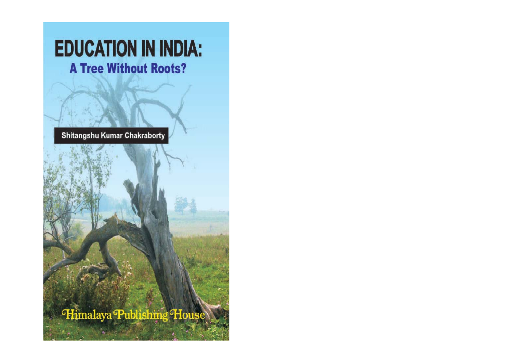# **EDUCATION IN INDIA: A Tree Without Roots?**

Shitangshu Kumar Chakraborty

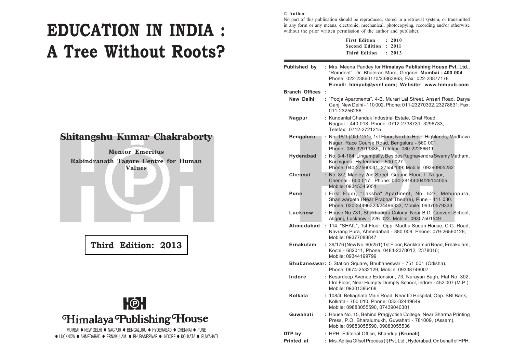# **EDUCATION IN INDIA : A Tree Without Roots?**

## **Shitangshu Kumar Chakraborty**

**Mentor Emeritus Rabindranath Tagore Centre for Human Values**

**Third Edition: 2013**



MUMBAI  $\bullet$  NEW DELHI  $\bullet$  NAGPUR  $\bullet$  BENGALURU  $\bullet$  HYDERABAD  $\bullet$  CHENNAI  $\bullet$  PUNE  $\bullet$  LUCKNOW  $\bullet$  AHMEDABAD  $\bullet$  ERNAKULAM  $\bullet$  BHUBANESWAR  $\bullet$  INDORE  $\bullet$  KOLKATA  $\bullet$  GUWAHATI

#### **© Author**

No part of this publication should be reproduced, stored in a retrieval system, or transmitted in any form or any means, electronic, mechanical, photocopying, recording and/or otherwise without the prior written permission of the author and publisher.

| <b>First Edition</b>  | : 2010 |
|-----------------------|--------|
| Second Edition : 2011 |        |
| <b>Third Edition</b>  | : 2013 |

| Published by          | : Mrs. Meena Pandey for Himalaya Publishing House Pvt. Ltd.,<br>"Ramdoot", Dr. Bhalerao Marg, Girgaon, Mumbai - 400 004.<br>Phone: 022-23860170/23863863, Fax: 022-23877178<br>E-mail: himpub@vsnl.com; Website: www.himpub.com |
|-----------------------|---------------------------------------------------------------------------------------------------------------------------------------------------------------------------------------------------------------------------------|
| <b>Branch Offices</b> |                                                                                                                                                                                                                                 |
| New Delhi             | : "Pooja Apartments", 4-B, Murari Lal Street, Ansari Road, Darya<br>Ganj, New Delhi - 110 002. Phone: 011-23270392, 23278631; Fax:<br>011-23256286                                                                              |
| Nagpur                | : Kundanlal Chandak Industrial Estate, Ghat Road,<br>Nagpur - 440 018. Phone: 0712-2738731, 3296733;<br>Telefax: 0712-2721215                                                                                                   |
| <b>Bengaluru</b>      | : No. 16/1 (Old 12/1), 1st Floor, Next to Hotel Highlands, Madhava<br>Nagar, Race Course Road, Bengaluru - 560 001.<br>Phone: 080-32919385; Telefax: 080-22286611                                                               |
| <b>Hyderabad</b>      | : No. 3-4-184, Lingampally, Besides Raghavendra Swamy Matham,<br>Kachiguda, Hyderabad - 500 027.<br>Phone: 040-27560041, 27550139; Mobile: 09390905282                                                                          |
| Chennai               | : No. 8/2, Madley 2nd Street, Ground Floor, T. Nagar,<br>Chennai - 600 017. Phone: 044-28144004/28144005;<br>Mobile: 09345345051                                                                                                |
| Pune                  | : First Floor, "Laksha" Apartment, No. 527, Mehunpura,<br>Shaniwarpeth (Near Prabhat Theatre), Pune - 411 030.<br>Phone: 020-24496323/24496333: Mobile: 09370579333                                                             |
| Lucknow               | : House No 731, Shekhupura Colony, Near B.D. Convent School,<br>Aliganj, Lucknow - 226 022. Mobile: 09307501549                                                                                                                 |
| Ahmedabad             | : 114, "SHAIL", 1st Floor, Opp. Madhu Sudan House, C.G. Road,<br>Navrang Pura, Ahmedabad - 380 009. Phone: 079-26560126;<br>Mobile: 09377088847                                                                                 |
| Ernakulam             | : 39/176 (New No: 60/251) 1st Floor, Karikkamuri Road, Ernakulam,<br>Kochi - 682011, Phone: 0484-2378012, 2378016;<br>Mobile: 09344199799                                                                                       |
|                       | Bhubaneswar: 5 Station Square, Bhubaneswar - 751 001 (Odisha).<br>Phone: 0674-2532129, Mobile: 09338746007                                                                                                                      |
| Indore                | : Kesardeep Avenue Extension, 73, Narayan Bagh, Flat No. 302,<br>Illrd Floor, Near Humpty Dumpty School, Indore - 452 007 (M.P.).<br>Mobile: 09301386468                                                                        |
| Kolkata               | : 108/4, Beliaghata Main Road, Near ID Hospital, Opp. SBI Bank,<br>Kolkata - 700 010, Phone: 033-32449649,<br>Mobile: 09883055590. 07439040301                                                                                  |
| Guwahati              | : House No. 15, Behind Pragjyotish College, Near Sharma Printing<br>Press, P.O. Bharalumukh, Guwahati - 781009, (Assam).<br>Mobile: 09883055590, 09883055536                                                                    |
| DTP by                | : HPH, Editorial Office, Bhandup (Krunali)                                                                                                                                                                                      |
| <b>Printed at</b>     | : M/s. Aditya Offset Process (I) Pvt. Ltd., Hyderabad. On behalf of HPH.                                                                                                                                                        |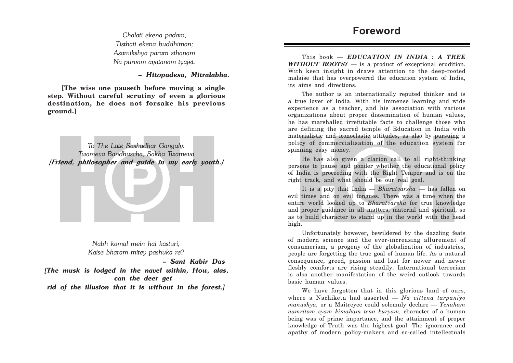*Tisthati ekena buddhiman; Asamikshya param sthanam Na purvam ayatanam tyajet.*

*– Hitopadesa, Mitralabha.*

**[The wise one pauseth before moving a single step. Without careful scrutiny of even a glorious destination, he does not forsake his previous ground.]**

*To The Late Sashadhar Ganguly: Twameva Bandhuscha, Sakha Twameva [Friend, philosopher and guide in my early youth.]*

> *Nabh kamal mein hai kasturi, Kaise bharam mitey pashuka re?*

> > *– Sant Kabir Das*

*[The musk is lodged in the navel within, How, alas, can the deer get rid of the illusion that it is without in the forest.]*

This book — *EDUCATION IN INDIA : A TREE WITHOUT ROOTS?* — is a product of exceptional erudition. With keen insight in draws attention to the deep-rooted malaise that has overpowered the education system of India, its aims and directions.

The author is an internationally reputed thinker and is a true lover of India. With his immense learning and wide experience as a teacher, and his association with various organizations about proper dissemination of human values, he has marshalled irrefutable facts to challenge those who are defining the sacred temple of Education in India with materialistic and iconoclastic attitudes, as also by pursuing a policy of commercialisation of the education system for spinning easy money.

He has also given a clarion call to all right-thinking persons to pause and ponder whether the educational policy of India is proceeding with the Right Temper and is on the right track, and what should be our real goal.

It is a pity that India *— Bharatvarsha* — has fallen on evil times and on evil tongues. There was a time when the entire world looked up to *Bharatvarsha* for true knowledge and proper guidance in all matters, material and spiritual, so as to build character to stand up in the world with the head high.

Unfortunately however, bewildered by the dazzling feats of modern science and the ever-increasing allurement of consumerism, a progeny of the globalization of industries, people are forgetting the true goal of human life. As a natural consequence, greed, passion and lust for newer and newer fleshly comforts are rising steadily. International terrorism is also another manifestation of the weird outlook towards basic human values.

We have forgotten that in this glorious land of ours, where a Nachiketa had asserted — *Na vittena tarpaniyo manushya,* or a Maitreyee could solemnly declare — *Yenaham namritam syam kimaham tena kuryam,* character of a human being was of prime importance, and the attainment of proper knowledge of Truth was the highest goal. The ignorance and apathy of modern policy-makers and so-called intellectuals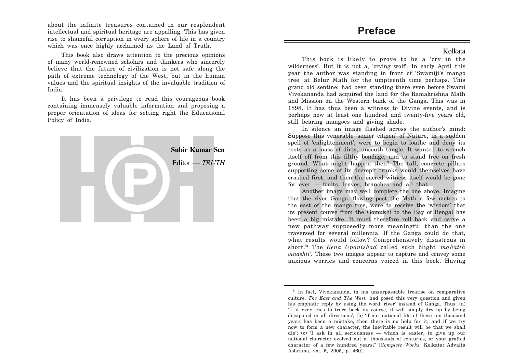about the infinite treasures contained in our resplendent intellectual and spiritual heritage are appalling. This has given rise to shameful corruption in every sphere of life in a country which was once highly acclaimed as the Land of Truth.

This book also draws attention to the precious opinions of many world-renowned scholars and thinkers who sincerely believe that the future of civilization is not safe along the path of extreme technology of the West, but in the human values and the spiritual insights of the invaluable tradition of India.

It has been a privilege to read this courageous book containing immensely valuable information and proposing a proper orientation of ideas for setting right the Educational Policy of India.



## **Preface**

### Kolkata

This book is likely to prove to be a 'cry in the wilderness'. But it is not a, 'crying wolf'. In early April this year the author was standing in front of 'Swamiji's mango tree' at Belur Math for the umpteenth time perhaps. This grand old sentinel had been standing there even before Swami Vivekananda had acquired the land for the Ramakrishna Math and Mission on the Western bank of the Ganga. This was in 1898. It has thus been a witness to Divine events, and is perhaps now at least one hundred and twenty-five years old, still bearing mangoes and giving shade.

In silence an image flashed across the author's mind: Suppose this venerable 'senior citizen' of Nature, in a sudden spell of 'enlightenment', were to begin to loathe and deny its roots as a mass of dirty, uncouth tangle. It wanted to wrench itself off from this filthy bondage, and to stand free on fresh ground. What might happen then? The tall, concrete pillars supporting some of its decrepit trunks would themselves have crashed first, and then the sacred witness itself would be gone for ever — fruits, leaves, branches and all that.

Another image may well complete the one above. Imagine that the river Ganga, flowing past the Math a few metres to the east of the mango tree, were to receive the 'wisdom' that its present course from the Gomukhi to the Bay of Bengal has been a big mistake. It must therefore roll back and carve a new pathway supposedly more meaningful than the one traversed for several millennia. If the Ganga could do that, what results would follow? Comprehensively disastrous in short.\* The *Kena Upanishad* called such blight *'mahatih vinashti'*. These two images appear to capture and convey some anxious worries and concerns voiced in this book. Having

<sup>\*</sup> In fact, Vivekananda, in his unsurpassable treatise on comparative culture. *The East and The West,* had posed this very question and given his emphatic reply by using the word 'river' instead of Ganga. Thus: (a) 'If it ever tries to trace back its course, it will simply dry up by being dissipated in all directions'; (b) 'if our national life of these ten thousand years has been a mistake, then there is no help for it; and if we try now to form a new character, the inevitable result will be that we shall die'; (c) 'I ask in all seriousness — which is easier, to give up our national character evolved out of thousands of centuries, or your grafted character of a few hundred years?' (*Complete Works,* Kolkata: Advaita Ashrama, vol. 5, 2005, p. 460).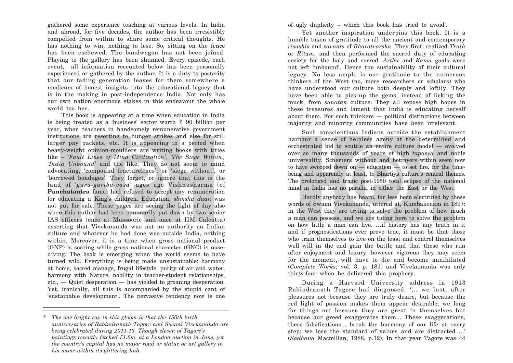gathered some experience teaching at various levels. In India and abroad, for five decades, the author has been irresistibly compelled from within to share some critical thoughts. He has nothing to win, nothing to lose. So, sitting on the fence has been eschewed. The bandwagon has not been joined. Playing to the gallery has been shunned. Every episode, each event, all information recounted below has been personally experienced or gathered by the author. It is a duty to posterity that our fading generation leaves for them somewhere a modicum of honest insights into the educational legacy that is in the making in post-independence India. Not only has our own nation enormous stakes in this endeavour the whole world too has.

This book is appearing at a time when education in India is being treated as a 'business' sector worth  $\bar{\tau}$  90 billion per year, when teachers in handsomely remunerative government institutions are resorting to hunger strikes and else for still larger pay packets, etc. It is appearing in a period when heavy-weight opinion-moulders are writing books with titles like – *'Fault Lines of Mind Civilization', 'The Siege Within', 'India Unbound'* and the like. They do not seem to mind advocating, 'compound fracturelines', or 'siege without', or 'borrowed bondages'. They forget, or ignore that this is the land of *'guru-gariba-vasa'* ages ago Vishnusharma (of **Panchatantra** fame) had refused to accept any remuneration for educating a King's children. Education, *sbiksha daan* was not put for sale. These pages are seeing the light of day also when this author had been summarily put down by two senior IAS officers (once at Mussoorie and once at IIM Calcutta) asserting that Vivekananda was not an authority on Indian culture and whatever he had done was outside India, nothing within. Moreover, it is a time when gross national product (GNP) is soaring while gross national character (GNC) is nosediving. The book is emerging when the world seems to have turned wild. Everything is being made unsustainable: harmony at home, sacred manage, frugal lifestyle, purity of air and water, harmony with Nature, nobility in teacher-student relationships, etc., — Quiet desperation — has yielded to groaning desperation. Yet, ironically, all this is accompanied by the stupid cant of 'sustainable development'. The pervasive tendency now is one

\*

of ugly duplicity – which this book has tried to avoid\* .

Yet another inspiration underpins this book. It is a humble token of gratitude to all the ancient and contemporary *risushis* and *savants* of *Bharatvarsha*. They first, realized *Truth* or *Ritam,* and then performed the sacred duty of educating society for the holy and sacred. *Artha* and *Kama* goals were not left 'unbound'. Hence the sustainability of their cultural legacy. No less ample is our gratitude to the numerous thinkers of the West (no, mere researchers or scholars) who have understood our culture both deeply and loftily. They have been able to pick-up the gems, instead of licking the muck, from *sanatan* culture. They all repose high hopes in these treasures and lament that India is educating herself about them. For such thinkers — political distinctions between majority and minority communities have been irrelevant.

Such conscientious Indians outside the establishment harbour a sense of helpless agony at the determined and orchestrated bid to scuttle an entire culture model — evolved over so many thousands of years of high *tapasya* and noble universality. Schemers without and betrayers within seem now to have swooped down on  $-$  education  $-$  to set fire, for the timebeing and apparently at least, to Bhartiya culture's central themes. The prolonged and tragic post-1950 total eclipse of the national mind in India has no parallel in either the East or the West.

Hardly anybody has heard, far less been electrified by these words of Swami Vivekananda, uttered at, Kumbakonam in 1897: in the West they are trying to solve the problem of how much a man can possess, and we are tiding here to solve the problem on how little a man can live. …if history has any truth in it and if prognostications ever prove true, it must be that those who train themselves to live on the least and control themselves well will in the end gain the battle and that those who run after enjoyment and luxury, however vigorous they may seem for the moment, will have to die and become annihilated (*Complete Works*, vol. 3, p. 181) and Vivekananda was only thirty-four when he delivered this prophecy.

During a Harvard University address in 1913 Rabindranath Tagore had diagnosed: '… we lust, after pleasures not because they are truly desire, but because the red light of passion makes them appear desirable; we long for things not because they are great in themselves but because our greed exaggerates them... These exaggerations, these falsifications... break the harmony of our life at every step; we lose the standard of values and are distracted ...' (*Sadhana* Macmillan, 1988, p.32). In that year Tagore was 44

*The one bright ray in this gloom is that the 150th birth anniversaries of Rabindranath Tagore and Swami Vivekananda are being celebrated during 2011-13. Though eleven of Tagore's paintings recently fetched £1.6m. at a London auction in June, yet the country's capital has no major road or statue or art gallery in his name within its glittering hub.*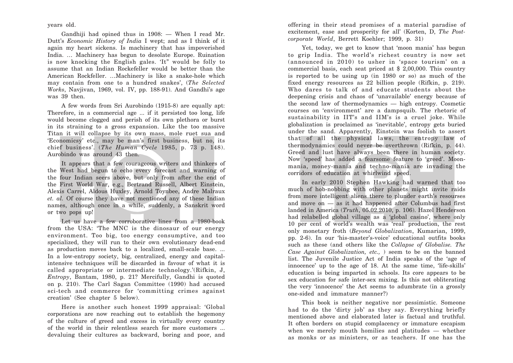years old.

Gandhiji had opined thus in 1908: — When I read Mr. Dutt's *Economic History of India* I wept; and as I think of it again my heart sickens. Is machinery that has impoverished India. … Machinery has begun to desolate Europe. Ruination is now knocking the English gales. 'It" would be folly to assume that an Indian Rockefeller would be better than the American Rockfeller. …Machinery is like a snake-hole which may contain from one to a hundred snakes', (*The Selected Works*, Navjivan, 1969, vol. IV, pp. 188-91). And Gandhi's age was 39 then.

A few words from Sri Aurobindo (1915-8) are equally apt: Therefore, in a commercial age ... if it persisted too long, life would become clogged and perish of its own plethora or burst in its straining to a gross expansion. Like the too massive Titan it will collapse by its own mass, mole ruet sua and 'Economicsy' etc., may be man's first business, but no, its chief business'. (*The Human Cycle* 1985, p. 73 p. 148). Aurobindo was around 43 then.

It appears that a few courageous writers and thinkers of the West had begun to echo every forecast and warning of the four Indian seers above, but only from after the end of the First World War, e.g., Bertrand Russell, Albert Einstein, Alexis Carrel, Aldous Huxley, Arnold Toynbee, Andre Malraux *et. al.* Of course they have not mentioned any of these Indian names, although once in a while, suddenly, a Sanskrit word or two pops up!

Let us have a few corroborative lines from a 1980-book from the USA: 'The MNC is the dinosaur of our energy environment. Too big, too energy consumptive, and too specialized, they will run to their own evolutionary dead-end as production moves back to a localized, small-scale base. ... In a low-entropy society, big, centralized, energy and capitalintensive techniques will be discarded in favour of what it is called appropriate or intermediate technology.'(Rifkin, J, *Entropy*, Bantam, 1980, p. 21? Mercifully, Gandhi is quoted on p. 210). The Carl Sagan Committee (1990) had accused sci-tech and commerce for 'committing crimes against creation' (See chapter 5 below).

Here is another such honest 1999 appraisal: 'Global corporations are now reaching out to establish the hegemony of the culture of greed and excess in virtually every country of the world in their relentless search for more customers ... devaluing their cultures as backward, boring and poor, and

offering in their stead promises of a material paradise of excitement, ease and prosperity for all' (Korten, D, *The Postcorporate World*, Berrett Koehler; 1999, p. 31)

Yet, today, we get to know that 'moon mania' has begun to grip India. The world's richest country is now set (announced in 2010) to usher in 'space tourism' on a commercial basis, each seat priced at \$ 2,00,000. This country is reported to be using up (in 1980 or so) as much of the fixed energy resources as 22 billion people (Rifkin, p. 219). Who dares to talk of and educate students about the deepening crisis and chaos of 'unavailable' energy because of the second law of thermodynamics — high entropy. Cosmetic courses on 'environment' are a dampsquib. The rhetoric of sustainability in IIT's and IIM's is a cruel joke. While globalization is proclaimed as 'inevitable', entropy gets buried under the sand. Apparently, Einstein was foolish to assert that of all the physical laws, the entropy law of thermodynamics could never be overthrown (Rifkin, p. 44). Greed and lust have always been there in human society. Now 'speed' has added a fearsome feature to 'greed'. Moonmania, money-mania and techno-mania are invading the corridors of education at whirlwind speed.

In early 2010 Stephen Hawking had warned that too much of hob-nobbing with other planets might invite raids from more intelligent aliens there to plunder earth's resourses and move on — as it had happened after Columbus had first landed in America (*Truth*, 05.02.2010, p. 106). Hazel Henderson had relabelled global village as a 'global casino', where only 10 per cent of world's wealth was 'real' production, the rest only monetary froth (*Beyond Globalization*, Kumarian, 1999, pp. 2-6). In our 'his-master's-voice' educational outfits books such as these (and others like the *Collapse of Globalise. The Case Against Globalization, etc.,* ) seem to be on the banned list. The Juvenile Justice Act of India speaks of the 'age of innocence' up to the age of 18. At the same time, 'life-skills' education is being imparted in schools. Its core appears to be sex education for safe inter-sex mixing. Is this not obliterating the very 'innocence' the Act seems to adumbrate (in a grossly one-sided and immature manner?)

This book is neither negative nor pessimistic. Someone had to do the 'dirty job' as they say. Everything briefly mentioned above and elaborated later is factual and truthful. It often borders on stupid complacency or immature escapism when we merely mouth homilies and platitudes — whether as monks or as ministers, or as teachers. If one has the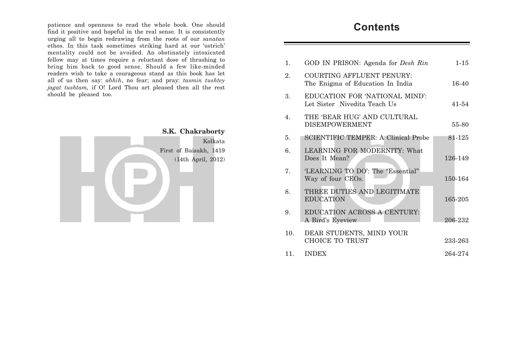patience and openness to read the whole book. One should **find it positive and hopeful in the real sense.** It is consistently urging all to begin redrawing from the roots of our *sanatan* ethos. In this task sometimes striking hard at our 'ostrich' mentality could not be avoided. An obstinately intoxicated fellow may at times require a reluctant dose of thrashing to bring him back to good sense. Should a few like-minded readers wish to take a courageous stand as this book has let all of us then say: *abhih*, no fear; and pray: *tasmin tushtey jagat tushtam,* if O! Lord Thou art pleased then all the rest should be pleased too.



| $\mathbf{1}$ .   | GOD IN PRISON: Agenda for <i>Desh Rin</i>                             | $1 - 15$  |
|------------------|-----------------------------------------------------------------------|-----------|
| 2.               | <b>COURTING AFFLUENT PENURY:</b><br>The Enigma of Education In India  | $16-40$   |
| 3.               | <b>EDUCATION FOR 'NATIONAL MIND':</b><br>Let Sister Nivedita Teach Us | $41 - 54$ |
| $\overline{4}$ . | THE 'BEAR HUG' AND CULTURAL<br><b>DISEMPOWERMENT</b>                  | 55-80     |
| 5.               | <b>SCIENTIFIC TEMPER: A Clinical Probe</b>                            | 81-125    |
| 6.               | <b>LEARNING FOR MODERNITY: What</b><br>Does It Mean?                  | 126-149   |
| 7.               | 'LEARNING TO DO': The "Essential"<br>Way of four CEOs.                | 150-164   |
| 8.               | THREE DUTIES AND LEGITIMATE<br><b>EDUCATION</b>                       | 165-205   |
| 9.               | <b>EDUCATION ACROSS A CENTURY:</b><br>A Bird's Eyeview                | 206-232   |
| 10.              | DEAR STUDENTS, MIND YOUR<br>CHOICE TO TRUST                           | 233-263   |
| 11.              | <b>INDEX</b>                                                          | 264-274   |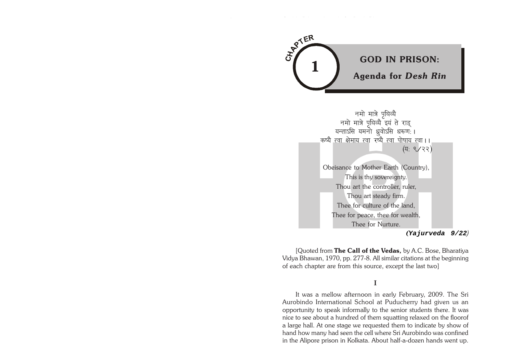

*Education in India: A Tree Without Roots? God in Prison: Agenda for Desh Rin*

123456789012345678901234567890121234567890123456789012345 123456789012345678901234567890121234567890123456789012345

> नमो मात्रे पृथिव्यै नमो मात्रे पृथिव्यै इयं ते राड् यन्ताऽसि यमनो ध्रुवोऽसि धरूणः। <sub>-</sub>कष्यै <u>त्वा क्षेमाय त्वा</u> रष्यै त्वा पोषाय त्वा।। (यः ९/२२) Obeisance to Mother Earth (Country), This is thy sovereignty. Thou art the controller, ruler, Thou art steady firm. Thee for culture of the land, Thee for peace, thee for wealth, Thee for Nurture.

**(***Yajurveda 9/22)*

[Quoted from The Call of the Vedas, by A.C. Bose, Bharatiya Vidya Bhawan, 1970, pp. 277-8. All similar citations at the beginning of each chapter are from this source, except the last two]

#### **I**

It was a mellow afternoon in early February, 2009. The Sri Aurobindo International School at Puducherry had given us an opportunity to speak informally to the senior students there. It was nice to see about a hundred of them squatting relaxed on the floorof a large hall. At one stage we requested them to indicate by show of hand how many had seen the cell where Sri Aurobindo was confined in the Alipore prison in Kolkata. About half-a-dozen hands went up.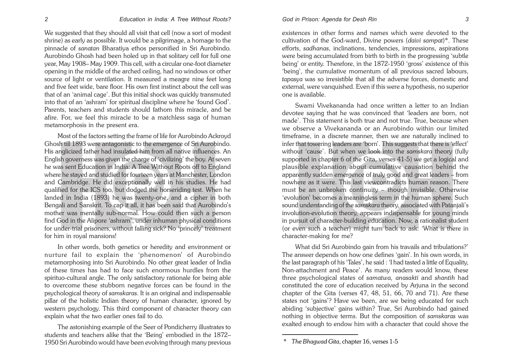We suggested that they should all visit that cell (now a sort of modest shrine) as early as possible. It would be a pilgrimage, a homage to the pinnacle of *sanatan* Bharatiya ethos personified in Sri Aurobindo. Aurobindo Ghosh had been holed up in that solitary cell for full one year, May 1908– May 1909. This cell, with a circular one-foot diameter opening in the middle of the arched ceiling, had no windows or other source of light or ventilation. It measured a meagre nine feet long and five feet wide, bare floor. His own first instinct about the cell was that of an 'animal cage'. But this initial shock was quickly transmuted into that of an 'ashram' for spiritual discipline where he 'found God'. Parents, teachers and students should fathom this miracle, and be afire. For, we feel this miracle to be a matchless saga of human metamorphosis in the present era.

Most of the factors setting the frame of life for Aurobindo Ackroyd Ghosh till 1893 were antagonistic to the emergence of Sri Aurobindo. His anglicized father had insulated him from all native influences. An English governess was given the charge of 'civilizing' the boy. At seven he was sent Education in India: A Tree Without Roots off to England where he stayed and studied for fourteen years at Manchester, London and Cambridge. He did exceptionally well in his studies. He had qualified for the ICS too, but dodged the horseriding test. When he landed in India (1893) he was twenty-one, and a cipher in both Bengali and Sanskrit. To cap it all, it has been said that Aurobindo's mother was mentally sub-normal. How could then such a person find God in the Alipore 'ashram', under inhuman physical conditions for under-trial prisoners, without falling sick? No 'princely' treatment for him in royal mansions!

In other words, both genetics or heredity and environment or nurture fail to explain the 'phenomenon' of Aurobindo metamorphosing into Sri Aurobindo. No other great leader of India of these times has had to face such enormous hurdles from the spirituo-cultural angle. The only satisfactory rationale for being able to overcome these stubborn negative forces can be found in the psychological theory of *samskaras*. It is an original and indispensable pillar of the holistic Indian theory of human character, ignored by western psychology. This third component of character theory can explain what the two earlier ones fail to do.

The astonishing example of the Seer of Pondicherry illustrates to students and teachers alike that the 'Being' embodied in the 1872– 1950 Sri Aurobindo would have been evolving through many previous

existences in other forms and names which were devoted to the cultivation of the God-ward, Divine powers (*daivi sampat*)\*. These efforts, *sadhanas*, inclinations, tendencies, impressions, aspirations were being accumulated from birth to birth in the progressing 'subtle being' or entity. Therefore, in the 1872-1950 'gross' existence of this 'being', the cumulative momentum of all previous sacred labours, *tapasya* was so irresistible that all the adverse forces, domestic and external, were vanquished. Even if this were a hypothesis, no superior one is available.

Swami Vivekananda had once written a letter to an Indian devotee saying that he was convinced that 'leaders are born, not made'. This statement is both true and not true. True, because when we observe a Vivekananda or an Aurobindo within our limited timeframe, in a discrete manner, then we are naturally inclined to infer that towering leaders are 'born'. This suggests that there is 'effect' without 'cause'. But when we look into the *samskara* theory (fully supported in chapter 6 of the Gita, verses 41-5) we get a logical and plausible explanation about cumulative causation behind the apparently sudden emergence of truly good and great leaders – from nowhere as it were. This last viewcontradicts human reason. There must be an unbroken continuity – though invisible. Otherwise 'evolution' becomes a meaningless term in the human sphere. Such sound understanding of the *samskara* theory, associated with Patanjali's involution-evolution theory, appears indispensable for young minds in pursuit of character-building education. Now, a rationalist student (or even such a teacher) might turn back to ask: 'What is there in character-making for me?

What did Sri Aurobindo gain from his travails and tribulations?' The answer depends on how one defines 'gain'. In his own words, in the last paragraph of his 'Tales', he said : 'I had tasted a little of Equality, Non-attachment and Peace'. As many readers would know, these three psychological states of *samatwa, anasakti* and *shantih* had constituted the core of education received by Arjuna in the second chapter of the Gita (verses 47, 48, 51, 66, 70 and 71). Are these states not 'gains'? Have we been, are we being educated for such abiding 'subjective' gains within? True, Sri Aurobindo had gained nothing in objective terms. But the composition of *samskaras* was exalted enough to endow him with a character that could shove the

*<sup>\*</sup> The Bhagwad Gita*, chapter 16, verses 1-5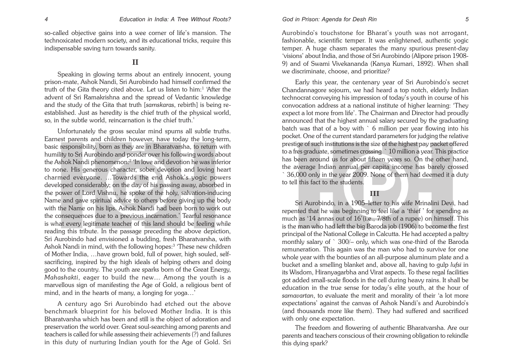so-called objective gains into a wee corner of life's mansion. The technoxicated modern society, and its educational tricks, require this indispensable saving turn towards sanity.

### **II**

Speaking in glowing terms about an entirely innocent, young prison-mate, Ashok Nandi, Sri Aurobindo had himself confirmed the truth of the Gita theory cited above. Let us listen to him:1 'After the advent of Sri Ramakrishna and the spread of Vedantic knowledge and the study of the Gita that truth [*samskaras*, rebirth] is being reestablished. Just as heredity is the chief truth of the physical world, so, in the subtle world, reincarnation is the chief truth.'

Unfortunately the gross secular mind spurns all subtle truths. Earnest parents and children however, have today the long-term, basic responsibility, born as they are in Bharatvarsha, to return with humility to Sri Aurobindo and ponder over his following words about the Ashok Nandi phenomenon:2 'In love and devotion he was inferior to none. His generous character, sober devotion and loving heart charmed everyone. …Towards the end Ashok's yogic powers developed considerably; on the day of his passing away, absorbed in the power of Lord Vishnu, he spoke of the holy, salvation-inducing Name and gave spiritual advice to others before giving up the body with the Name on his lips. Ashok Nandi had been born to work out the consequences due to a previous incarnation.' Tearful resonance is what every legitimate teacher of this land should be feeling while reading this tribute. In the passage preceding the above depiction, Sri Aurobindo had envisioned a budding, fresh Bharatvarsha, with Ashok Nandi in mind, with the following hopes:3 'These new children of Mother India, …have grown bold, full of power, high souled, selfsacrificing, inspired by the high ideals of helping others and doing good to the country. The youth are sparks born of the Great Energy, *Mahashakti*, eager to build the new… Among the youth is a marvellous sign of manifesting the Age of Gold, a religious bent of mind, and in the hearts of many, a longing for yoga…'

A century ago Sri Aurobindo had etched out the above benchmark blueprint for his beloved Mother India. It is this Bharatvarsha which has been and still is the object of adoration and preservation the world over. Great soul-searching among parents and teachers is called for while assessing their achievements (?) and failures in this duty of nurturing Indian youth for the Age of Gold. Sri

Aurobindo's touchstone for Bharat's youth was not arrogant, fashionable, scientific temper. It was enlightened, authentic yogic temper. A huge chasm separates the many spurious present-day 'visions' about India, and those of Sri Aurobindo (Alipore prison 1908- 9) and of Swami Vivekananda (Kanya Kumari, 1892). When shall we discriminate, choose, and prioritize?

Early this year, the centenary year of Sri Aurobindo's secret Chandannagore sojourn, we had heard a top notch, elderly Indian technocrat conveying his impression of today's youth in course of his convocation address at a national institute of higher learning: 'They expect a lot more from life'. The Chairman and Director had proudly announced that the highest annual salary secured by the graduating batch was that of a boy with ` 6 million per year flowing into his pocket. One of the current standard parameters for judging the relative prestige of such institutions is the size of the highest pay packet offered to a fres graduate, sometimes crossing ` 10 million a year. This practice has been around us for about fifteen years so. On the other hand, the average Indian annual per capita income has barely crossed  $\degree$  36,000 only in the year 2009. None of them had deemed it a duty to tell this fact to the students.

#### **III**

Sri Aurobindo, in a 1905–letter to his wife Mrinalini Devi, had repented that he was beginning to feel like a 'thief ' for spending as much as '14 annas out of 16'(i.e., 7/8th of a rupee) on himself. This is the man who had left the big Baroda job (1906) to become the first principal of the National College in Calcutta. He had accepted a paltry monthly salary of ` 300/– only, which was one-third of the Baroda remuneration. This again was the man who had to survive for one whole year with the bounties of an all-purpose aluminum plate and a bucket and a smelling blanket and, above all, having to gulp *lufsi* in its Wisdom, Hiranyagarbha and Virat aspects. To these regal facilities got added small-scale floods in the cell during heavy rains. It shall be education in the true sense for today's elite youth, at the hour of *samavartan*, to evaluate the merit and morality of their 'a lot more expectations' against the canvas of Ashok Nandi's and Aurobindo's (and thousands more like them). They had suffered and sacrificed with only one expectation.

The freedom and flowering of authentic Bharatvarsha. Are our parents and teachers conscious of their crowning obligation to rekindle this dying spark?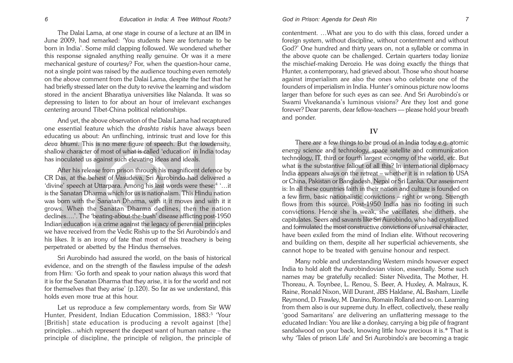The Dalai Lama, at one stage in course of a lecture at an IIM in June 2009, had remarked: 'You students here are fortunate to be born in India'. Some mild clapping followed. We wondered whether this response signaled anything really genuine. Or was it a mere mechanical gesture of courtesy? For, when the question-hour came, not a single point was raised by the audience touching even remotely on the above comment from the Dalai Lama, despite the fact that he had briefly stressed later on the duty to revive the learning and wisdom stored in the ancient Bharatiya universities like Nalanda. It was so depressing to listen to for about an hour of irrelevant exchanges centering around Tibet-China political relationships.

And yet, the above observation of the Dalai Lama had recaptured one essential feature which the *drashta rishis* have always been educating us about: An unflinching, intrinsic trust and love for this *deva bhumi*. This is no mere figure of speech. But the lowdensity, shallow character of most of what is called 'education' in India today has inoculated us against such elevating ideas and ideals.

After his release from prison through his magnificent defence by CR Das, at the behest of Vasudeva, Sri Aurobindo had delivered a 'divine' speech at Uttarpara. Among his last words were these:<sup>4</sup> '...it is the Sanatan Dharma which for us is nationalism. This Hindu nation was born with the Sanatan Dharma, with it it moves and with it it grows. When the Sanatan Dharma declines, then the nation declines….'. The 'beating-about-the-bush' disease afflicting post-1950 Indian education is a crime against the legacy of perennial principles we have received from the Vedic Rishis up to the Sri Aurobindo's and his likes. It is an irony of fate that most of this treachery is being perpetrated or abetted by the Hindus themselves.

Sri Aurobindo had assured the world, on the basis of historical evidence, and on the strength of the flawless impulse of the *adesh* from Him: 'Go forth and speak to your nation always this word that it is for the Sanatan Dharma that they arise, it is for the world and not for themselves that they arise' (p.120). So far as we understand, this holds even more true at this hour.

Let us reproduce a few complementary words, from Sir WW Hunter, President, Indian Education Commission, 1883:<sup>5</sup> 'Your [British] state education is producing a revolt against [the] principles…which represent the deepest want of human nature – the principle of discipline, the principle of religion, the principle of

contentment. …What are you to do with this class, forced under a foreign system, without discipline, without contentment and without God?' One hundred and thirty years on, not a syllable or comma in the above quote can be challenged. Certain quarters today lionize the mischief-making Derozio. He was doing exactly the things that Hunter, a contemporary, had grieved about. Those who shout hoarse against imperialism are also the ones who celebrate one of the founders of imperialism in India. Hunter's ominous picture now looms larger than before for such eyes as can see. And Sri Aurobindo's or Swami Vivekananda's luminous visions? Are they lost and gone forever? Dear parents, dear fellow-teachers –– please hold your breath and ponder.

### **IV**

There are a few things to be proud of in India today e.g. atomic energy science and technology, space satellite and communication technology, IT, third or fourth largest economy of the world, etc. But what is the substantive fallout of all this? In international diplomacy India appears always on the retreat – whether it is in relation to USA or China, Pakistan or Bangladesh, Nepal or Sri Lanka. Our assessment is: In all these countries faith in their nation and culture is founded on a few firm, basic nationalistic convictions – right or wrong. Strength flows from this source. Post-1950 India has no footing in such convictions. Hence she is weak, she vacillates, she dithers, she capitulates. Seers and savants like Sri Aurobindo, who had crystallized and formulated the most constructive convictions of universal character, have been exiled from the mind of Indian elite. Without recovering and building on them, despite all her superficial achievements, she cannot hope to be treated with genuine honour and respect.

Many noble and understanding Western minds however expect India to hold aloft the Aurobindovian vision, essentially. Some such names may be gratefully recalled: Sister Nivedita, The Mother, H. Thoreau, A. Toynbee, L. Renou, S. Beer, A. Huxley, A. Malraux, K. Raine, Ronald Nixon, Will Durant, JBS Haldane, AL Basham, Lizelle Reymond, D. Frawley, M. Danino, Romain Rolland and so on. Learning from them also is our supreme duty. In effect, collectively, these really 'good Samaritans' are delivering an unflattering message to the educated Indian: You are like a donkey, carrying a big pile of fragrant sandalwood on your back, knowing little how precious it is.\* That is why 'Tales of prison Life' and Sri Aurobindo's are becoming a tragic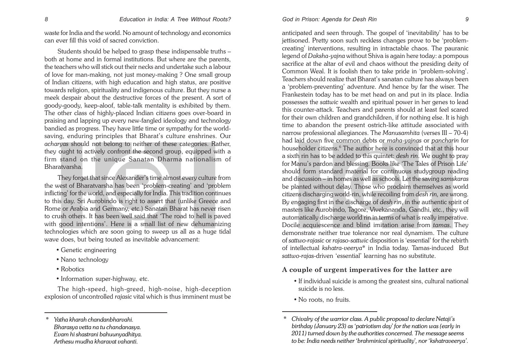waste for India and the world. No amount of technology and economics can ever fill this void of sacred conviction.

Students should be helped to grasp these indispensable truths – both at home and in formal institutions. But where are the parents, the teachers who will stick out their necks and undertake such a labour of love for man-making, not just money-making ? One small group of Indian citizens, with high education and high status, are positive towards religion, spirituality and indigenous culture. But they nurse a meek despair about the destructive forces of the present. A sort of goody-goody, keep-aloof, table-talk mentality is exhibited by them. The other class of highly-placed Indian citizens goes over-board in praising and lapping up every new-fangled ideology and technology bandied as progress. They have little time or sympathy for the worldsaving, enduring principles that Bharat's culture enshrines. Our *acharyas* should not belong to neither of these categories. Rather, they ought to actively confront the second group, equipped with a firm stand on the unique Sanatan Dharma nationalism of Bharatvarsha.

They forget that since Alexander's time almost every culture from the west of Bharatvarsha has been 'problem-creating' and 'problem inflicting' for the world, and especially for India. This tradition continues to this day. Sri Aurobindo is right to assert that (unlike Greece and Rome or Arabia and Germany, etc.) Sanatan Bharat has never risen to crush others. It has been well said that 'The road to hell is paved with good intentions'. Here is a small list of new dehumanizing technologies which are soon going to sweep us all as a huge tidal wave does, but being touted as inevitable advancement:

- Genetic engineering
- Nano technology
- Robotics
- Information super-highway, etc.

The high-speed, high-greed, high-noise, high-deception explosion of uncontrolled *rajasic* vital which is thus imminent must be

anticipated and seen through. The gospel of 'inevitability' has to be jettisoned. Pretty soon such reckless changes prove to be 'problemcreating' interventions, resulting in intractable chaos. The pauranic legend of *Daksha-yajna* without Shiva is again here today: a pompous sacrifice at the altar of evil and chaos without the presiding deity of Common Weal. It is foolish then to take pride in 'problem-solving'. Teachers should realize that Bharat's sanatan culture has always been <sup>a</sup>'problem-preventing' adventure. And hence by far the wiser. The Frankestein today has to be met head on and put in its place. India possesses the *sattwic* wealth and spiritual power in her genes to lead this counter-attack. Teachers and parents should at least feel scared for their own children and grandchildren, if for nothing else. It is high time to abandon the present ostrich-like attitude associated with narrow professional allegiances. The *Manusamhita* (verses III – 70-4) had laid down five common debts or *maha-yajnas* or *pancharin* for householder citizens.<sup>6</sup> The author here is convinced that at this hour a sixth rin has to be added to this quintet: *desh rin*. We ought to pray for Manu's pardon and blessing. Books like 'The Tales of Prison Life' should form standard material for continuous studygroup reading and discussion – in homes as well as schools. Let the saving *samskaras* be planted without delay. Those who proclaim themselves as world citizens discharging world-rin, while recoiling from *desh rin,* are wrong. By engaging first in the discharge of *desh rin*, in the authentic spirit of masters like Aurobindo, Tagore, Vivekananda, Gandhi, etc., they will automatically discharge world rin in terms of what is really imperative. Docile acquiescence and blind imitation arise from *tamas*. They demonstrate neither true tolerance nor real dynamism. The culture of *sattwo-rajasic* or *rajaso-sattwic* disposition is 'essential' for the rebirth of intellectual *kshatra-veerya*\* in India today. Tamas-induced But *sattwo-rajas*-driven 'essential' learning has no substitute.

### **A couple of urgent imperatives for the latter are**

- If individual suicide is among the greatest sins, cultural national suicide is no less.
- No roots, no fruits.

<sup>\*</sup> *Yatha kharah chandanbharvahi. Bharasya vetta na tu chandanasya. Evam hi shastrani bahuunyadhitya. Arthesu mudha kharavat vahanti.*

*<sup>\*</sup> Chivalry of the warrior class. A public proposal to declare Netaji's birthday (January 23) as 'patriotism day' for the nation was (early in 2011) turned down by the authorities concerned. The message seems to be: India needs neither 'brahminical spirituality', nor 'kshatraveerya'.*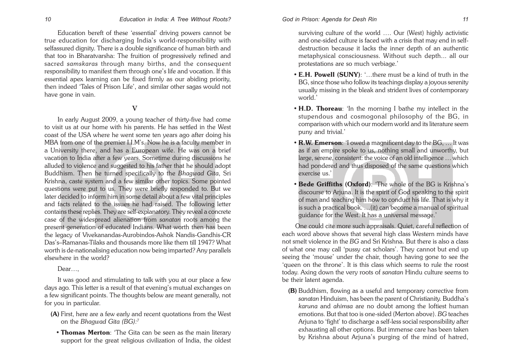Education bereft of these 'essential' driving powers cannot be true education for discharging India's world-responsibility with selfassured dignity. There is a double significance of human birth and that too in Bharatvarsha: The fruition of progressively refined and sacred *samskaras* through many births, and the consequent responsibility to manifest them through one's life and vocation. If this essential apex learning can be fixed firmly as our abiding priority, then indeed 'Tales of Prison Life', and similar other sagas would not have gone in vain.

#### **V**

In early August 2009, a young teacher of thirty-five had come to visit us at our home with his parents. He has settled in the West coast of the USA where he went some ten years ago after doing his MBA from one of the premier I.I.M's. Now he is a faculty member in a University there, and has a European wife. He was on a brief vacation to India after a few years. Sometime during discussions he alluded to violence and suggested to his father that he should adopt Buddhism. Then he turned specifically to the *Bhagwad Gita*, Sri Krishna, caste system and a few similar other topics. Some pointed questions were put to us. They were briefly responded to. But we later decided to inform him in some detail about a few vital principles and facts related to the issues he had raised. The following letter contains these replies. They are self-explanatory. They reveal a concrete case of the widespread alienation from *sanatan* roots among the present generation of educated Indians. What worth then has been the legacy of Vivekanandas-Aurobindos-Ashok Nandis-Gandhis-CR Das's–Ramanas-Tilaks and thousands more like them till 1947? What worth is de-nationalising education now being imparted? Any parallels elsewhere in the world?

Dear…,

It was good and stimulating to talk with you at our place a few days ago. This letter is a result of that evening's mutual exchanges on a few significant points. The thoughts below are meant generally, not for you in particular.

- (A) First, here are a few early and recent quotations from the West on the *Bhagwad Gita (BG):7*
	- Thomas Merton: 'The Gita can be seen as the main literary support for the great religious civilization of India, the oldest

*Education in India: A Tree Without Roots? God in Prison: Agenda for Desh Rin*

### surviving culture of the world …. Our (West) highly activistic and one-sided culture is faced with a crisis that may end in selfdestruction because it lacks the inner depth of an authentic metaphysical consciousness. Without such depth... all our protestations are so much verbiage.'

- **E.H. Powell (SUNY)**: '...there must be a kind of truth in the BG, since those who follow its teachings display a joyous serenity usually missing in the bleak and strident lives of contemporary world<sup>'</sup>
- H.D. Thoreau: 'In the morning I bathe my intellect in the stupendous and cosmogonal philosophy of the BG, in comparison with which our modern world and its literature seem puny and trivial.'
- **R.W. Emerson**: 'I owed a magnificent day to the BG, ... It was as if an empire spoke to us, nothing small and unworthy, but large, serene, consistent: the voice of an old intelligence … which had pondered and thus disposed of the same questions which exercise us.'
- Bede Griffiths (Oxford): 'The whole of the BG is Krishna's discourse to Arjuna. It is the spirit of God speaking to the spirit of man and teaching him how to conduct his life. That is why it is such a practical book. …(it) can become a manual of spiritual guidance for the West. It has a universal message.'

One could cite more such appraisals. Quiet, careful reflection of each word above shows that several high class Western minds have not smelt violence in the *BG* and Sri Krishna. But there is also a class of what one may call 'pussy cat scholars'. They cannot but end up seeing the 'mouse' under the chair, though having gone to see the 'queen on the throne'. It is this class which seems to rule the roost today. Axing down the very roots of *sanatan* Hindu culture seems to be their latent agenda.

(B) Buddhism, flowing as a useful and temporary corrective from *sanatan* Hinduism, has been the parent of Christianity. Buddha's *karuna* and *ahimsa* are no doubt among the loftiest human emotions. But that too is one-sided (Merton above). *BG* teaches Arjuna to 'fight' to discharge a self-less social responsibility after exhausting all other options. But immense care has been taken by Krishna about Arjuna's purging of the mind of hatred,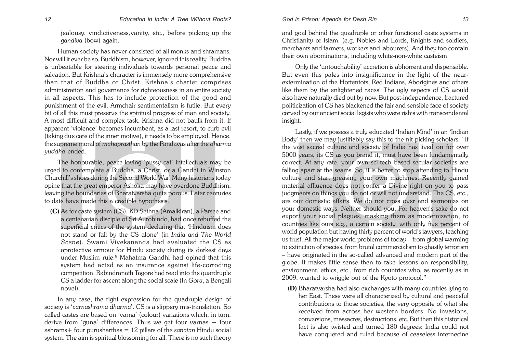jealousy, vindictiveness,vanity, etc., before picking up the *gandiva* (bow) again.

Human society has never consisted of all monks and shramans. Nor will it ever be so. Buddhism, however, ignored this reality. Buddha is unbeatable for steering individuals towards personal peace and salvation. But Krishna's character is immensely more comprehensive than that of Buddha or Christ. Krishna's charter comprises administration and governance for righteousness in an entire society in all aspects. This has to include protection of the good and punishment of the evil. Armchair sentimentalism is futile. But every bit of all this must preserve the spiritual progress of man and society. A most difficult and complex task. Krishna did not baulk from it. If apparent 'violence' becomes incumbent, as a last resort, to curb evil (taking due care of the inner motive), it needs to be employed. Hence, the supreme moral of *mahaprasthan* by the Pandavas after the *dharma yuddha* ended.

The honourable, peace-loving 'pussy cat' intellectuals may be urged to contemplate a Buddha, a Christ, or a Gandhi in Winston Churchill's shoes during the Second World War! Many historians today opine that the great emperor Ashoka may have overdone Buddhism, leaving the boundaries of Bharatvarsha quite porous. Later centuries to date have made this a credible hypothesis.

(C) As for caste system (CS), KD Sethna (Amalkiran), a Parsee and a centenarian disciple of Sri Aurobindo, had once rebuffed the superficial critics of the system declaring that 'Hinduism does not stand or fall by the CS alone' (in *India and The World Scene*). Swami Vivekananda had evaluated the CS as aprotective armour for Hindu society during its darkest days under Muslim rule.<sup>8</sup> Mahatma Gandhi had opined that this system had acted as an insurance against life-corroding competition. Rabindranath Tagore had read into the quardruple CS a ladder for ascent along the social scale (In *Gora*, a Bengali novel).

In any case, the right expression for the quadruple design of society is '*varnashrama dharma*'. CS is a slippery mis-translation. So called castes are based on 'varna' (colour) variations which, in turn, derive from 'guna' differences. Thus we get four varnas + four ashrams+ four purusharthas = 12 pillars of the *sanatan* Hindu social system. The aim is spiritual blossoming for all. There is no such theory

and goal behind the quadruple or other functional caste systems in Christianity or Islam. (e.g. Nobles and Lords, Knights and soldiers, merchants and farmers, workers and labourers). And they too contain their own abominations, including white-non-white casteism.

Only the 'untouchability' accretion is abhorrent and dispensable. But even this pales into insignificance in the light of the nearextermination of the Hottentots, Red Indians, Aborigines and others like them by the enlightened races! The ugly aspects of CS would also have naturally died out by now. But post-independence, fractured politicization of CS has blackened the fair and sensible face of society carved by our ancient social legists who were rishis with transcendental insight.

Lastly, if we possess a truly educated 'Indian Mind' in an 'Indian Body' then we may justifiably say this to the nit-picking scholars: "If the vast sacred culture and society of India has lived on for over 5000 years, its CS as you brand it, must have been fundamentally correct. At any rate, your own sci-tech based secular societies are falling apart at the seams. So, it is better to stop attending to Hindu culture and start greasing your own machines. Recently gained material affluence does not confer a Divine right on you to pass judgments on things you do not or will not understand. The CS, etc., are our domestic affairs. We do not cross over and sermonize on your domestic ways. Neither should you. For heaven's sake do not export your social plagues, masking them as modernization, to countries like ours e.g., a certain society, with only five percent of world population but having thirty percent of world's lawyers, teaching us trust. All the major world problems of today – from global warming to extinction of species, from brutal commercialism to ghastly terrorism – have originated in the so-called advanced and modern part of the globe. It makes little sense then to take lessons on responsibility, environment, ethics, etc., from rich countries who, as recently as in 2009, wanted to wriggle out of the Kyoto protocol."

(D) Bharatvarsha had also exchanges with many countries lying to her East. These were all characterized by cultural and peaceful contributions to those societies, the very opposite of what she received from across her western borders. No invasions, conversions, massacres, destructions, etc. But then this historical fact is also twisted and turned 180 degrees: India could not have conquered and ruled because of ceaseless internecine